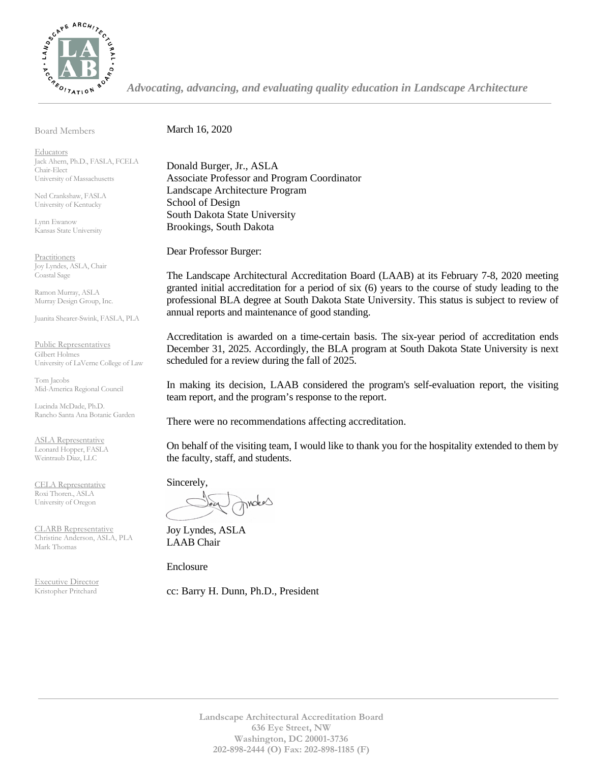

*Advocating, advancing, and evaluating quality education in Landscape Architecture*

Board Members

March 16, 2020

**Educators** Jack Ahern, Ph.D., FASLA, FCELA Chair-Elect University of Massachusetts

Ned Crankshaw, FASLA University of Kentucky

Lynn Ewanow Kansas State University

**Practitioners** Joy Lyndes, ASLA, Chair Coastal Sage

Ramon Murray, ASLA Murray Design Group, Inc.

Juanita Shearer-Swink, FASLA, PLA

Public Representatives Gilbert Holmes University of LaVerne College of Law

Tom Jacobs Mid-America Regional Council

Lucinda McDade, Ph.D. Rancho Santa Ana Botanic Garden

ASLA Representative Leonard Hopper, FASLA Weintraub Diaz, LLC

CELA Representative Roxi Thoren., ASLA University of Oregon

CLARB Representative Christine Anderson, ASLA, PLA Mark Thomas

Executive Director Kristopher Pritchard

Donald Burger, Jr., ASLA Associate Professor and Program Coordinator Landscape Architecture Program School of Design South Dakota State University Brookings, South Dakota

Dear Professor Burger:

The Landscape Architectural Accreditation Board (LAAB) at its February 7-8, 2020 meeting granted initial accreditation for a period of six (6) years to the course of study leading to the professional BLA degree at South Dakota State University. This status is subject to review of annual reports and maintenance of good standing.

Accreditation is awarded on a time-certain basis. The six-year period of accreditation ends December 31, 2025. Accordingly, the BLA program at South Dakota State University is next scheduled for a review during the fall of 2025.

In making its decision, LAAB considered the program's self-evaluation report, the visiting team report, and the program's response to the report.

There were no recommendations affecting accreditation.

On behalf of the visiting team, I would like to thank you for the hospitality extended to them by the faculty, staff, and students.

Sincerely,

wokes

Joy Lyndes, ASLA LAAB Chair

Enclosure

cc: Barry H. Dunn, Ph.D., President